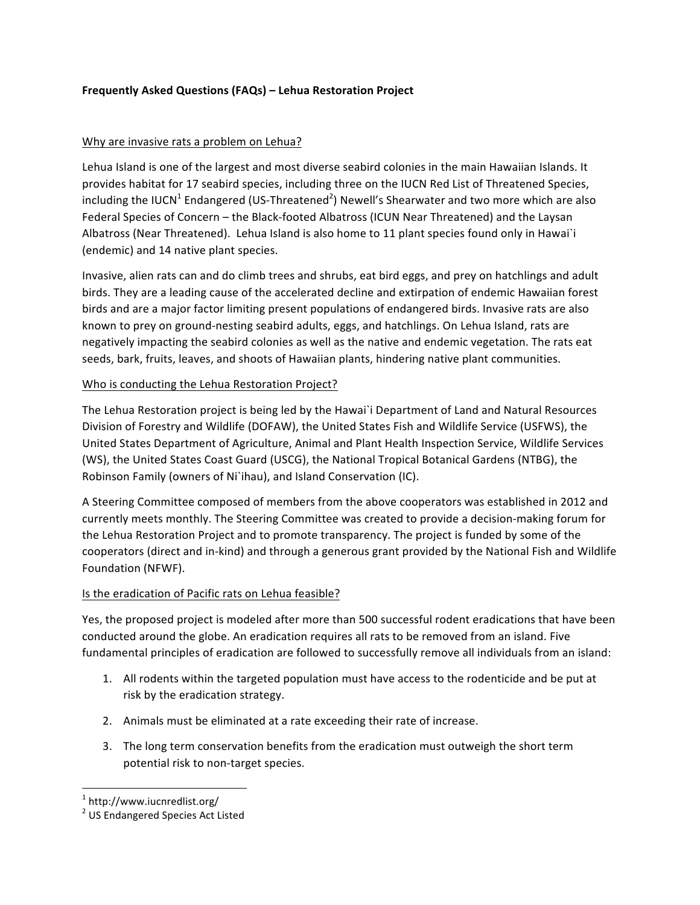## **Frequently Asked Questions (FAQs) – Lehua Restoration Project**

#### Why are invasive rats a problem on Lehua?

Lehua Island is one of the largest and most diverse seabird colonies in the main Hawaiian Islands. It provides habitat for 17 seabird species, including three on the IUCN Red List of Threatened Species, including the IUCN<sup>1</sup> Endangered (US-Threatened<sup>2</sup>) Newell's Shearwater and two more which are also Federal Species of Concern - the Black-footed Albatross (ICUN Near Threatened) and the Laysan Albatross (Near Threatened). Lehua Island is also home to 11 plant species found only in Hawai'i (endemic) and 14 native plant species.

Invasive, alien rats can and do climb trees and shrubs, eat bird eggs, and prey on hatchlings and adult birds. They are a leading cause of the accelerated decline and extirpation of endemic Hawaiian forest birds and are a major factor limiting present populations of endangered birds. Invasive rats are also known to prey on ground-nesting seabird adults, eggs, and hatchlings. On Lehua Island, rats are negatively impacting the seabird colonies as well as the native and endemic vegetation. The rats eat seeds, bark, fruits, leaves, and shoots of Hawaiian plants, hindering native plant communities.

### Who is conducting the Lehua Restoration Project?

The Lehua Restoration project is being led by the Hawai'i Department of Land and Natural Resources Division of Forestry and Wildlife (DOFAW), the United States Fish and Wildlife Service (USFWS), the United States Department of Agriculture, Animal and Plant Health Inspection Service, Wildlife Services (WS), the United States Coast Guard (USCG), the National Tropical Botanical Gardens (NTBG), the Robinson Family (owners of Ni`ihau), and Island Conservation (IC).

A Steering Committee composed of members from the above cooperators was established in 2012 and currently meets monthly. The Steering Committee was created to provide a decision-making forum for the Lehua Restoration Project and to promote transparency. The project is funded by some of the cooperators (direct and in-kind) and through a generous grant provided by the National Fish and Wildlife Foundation (NFWF).

## Is the eradication of Pacific rats on Lehua feasible?

Yes, the proposed project is modeled after more than 500 successful rodent eradications that have been conducted around the globe. An eradication requires all rats to be removed from an island. Five fundamental principles of eradication are followed to successfully remove all individuals from an island:

- 1. All rodents within the targeted population must have access to the rodenticide and be put at risk by the eradication strategy.
- 2. Animals must be eliminated at a rate exceeding their rate of increase.
- 3. The long term conservation benefits from the eradication must outweigh the short term potential risk to non-target species.

<u> 1989 - Johann Barn, mars ann an t-Amhain Aonaich ann an t-Aonaich ann an t-Aonaich ann an t-Aonaich ann an t-</u>

<sup>1</sup> http://www.iucnredlist.org/

<sup>&</sup>lt;sup>2</sup> US Endangered Species Act Listed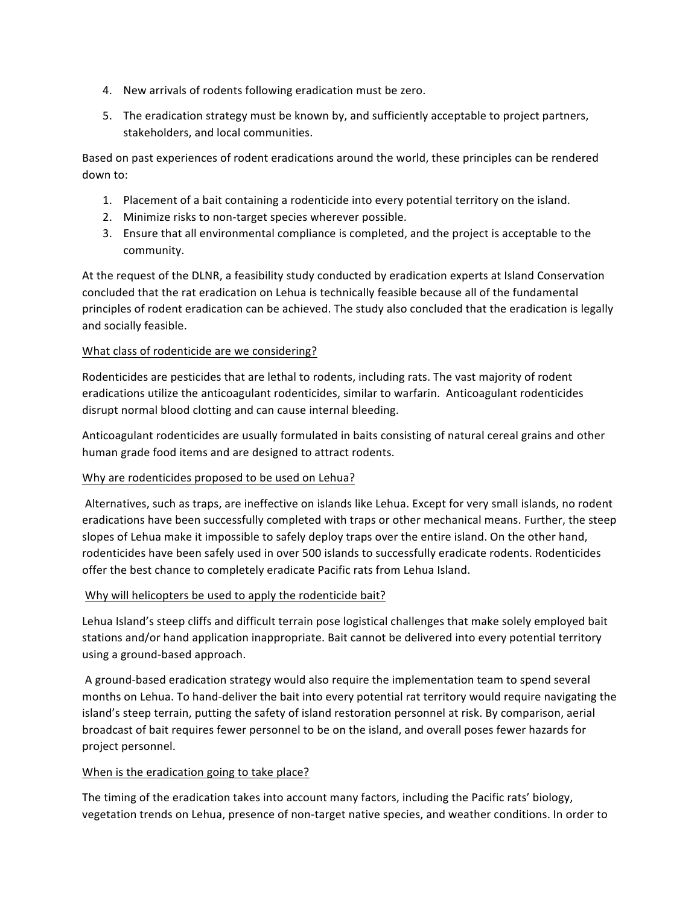- 4. New arrivals of rodents following eradication must be zero.
- 5. The eradication strategy must be known by, and sufficiently acceptable to project partners, stakeholders, and local communities.

Based on past experiences of rodent eradications around the world, these principles can be rendered down to:

- 1. Placement of a bait containing a rodenticide into every potential territory on the island.
- 2. Minimize risks to non-target species wherever possible.
- 3. Ensure that all environmental compliance is completed, and the project is acceptable to the community.

At the request of the DLNR, a feasibility study conducted by eradication experts at Island Conservation concluded that the rat eradication on Lehua is technically feasible because all of the fundamental principles of rodent eradication can be achieved. The study also concluded that the eradication is legally and socially feasible.

### What class of rodenticide are we considering?

Rodenticides are pesticides that are lethal to rodents, including rats. The vast majority of rodent eradications utilize the anticoagulant rodenticides, similar to warfarin. Anticoagulant rodenticides disrupt normal blood clotting and can cause internal bleeding.

Anticoagulant rodenticides are usually formulated in baits consisting of natural cereal grains and other human grade food items and are designed to attract rodents.

#### Why are rodenticides proposed to be used on Lehua?

Alternatives, such as traps, are ineffective on islands like Lehua. Except for very small islands, no rodent eradications have been successfully completed with traps or other mechanical means. Further, the steep slopes of Lehua make it impossible to safely deploy traps over the entire island. On the other hand, rodenticides have been safely used in over 500 islands to successfully eradicate rodents. Rodenticides offer the best chance to completely eradicate Pacific rats from Lehua Island.

#### Why will helicopters be used to apply the rodenticide bait?

Lehua Island's steep cliffs and difficult terrain pose logistical challenges that make solely employed bait stations and/or hand application inappropriate. Bait cannot be delivered into every potential territory using a ground-based approach.

A ground-based eradication strategy would also require the implementation team to spend several months on Lehua. To hand-deliver the bait into every potential rat territory would require navigating the island's steep terrain, putting the safety of island restoration personnel at risk. By comparison, aerial broadcast of bait requires fewer personnel to be on the island, and overall poses fewer hazards for project personnel.

## When is the eradication going to take place?

The timing of the eradication takes into account many factors, including the Pacific rats' biology, vegetation trends on Lehua, presence of non-target native species, and weather conditions. In order to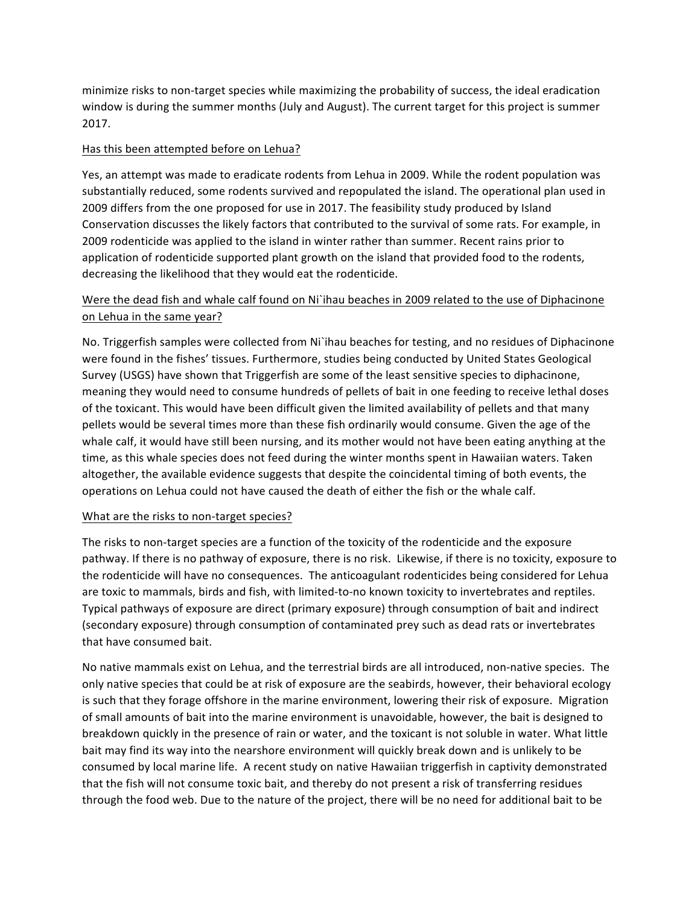minimize risks to non-target species while maximizing the probability of success, the ideal eradication window is during the summer months (July and August). The current target for this project is summer 2017.

#### Has this been attempted before on Lehua?

Yes, an attempt was made to eradicate rodents from Lehua in 2009. While the rodent population was substantially reduced, some rodents survived and repopulated the island. The operational plan used in 2009 differs from the one proposed for use in 2017. The feasibility study produced by Island Conservation discusses the likely factors that contributed to the survival of some rats. For example, in 2009 rodenticide was applied to the island in winter rather than summer. Recent rains prior to application of rodenticide supported plant growth on the island that provided food to the rodents, decreasing the likelihood that they would eat the rodenticide.

# Were the dead fish and whale calf found on Ni`ihau beaches in 2009 related to the use of Diphacinone on Lehua in the same year?

No. Triggerfish samples were collected from Ni`ihau beaches for testing, and no residues of Diphacinone were found in the fishes' tissues. Furthermore, studies being conducted by United States Geological Survey (USGS) have shown that Triggerfish are some of the least sensitive species to diphacinone, meaning they would need to consume hundreds of pellets of bait in one feeding to receive lethal doses of the toxicant. This would have been difficult given the limited availability of pellets and that many pellets would be several times more than these fish ordinarily would consume. Given the age of the whale calf, it would have still been nursing, and its mother would not have been eating anything at the time, as this whale species does not feed during the winter months spent in Hawaiian waters. Taken altogether, the available evidence suggests that despite the coincidental timing of both events, the operations on Lehua could not have caused the death of either the fish or the whale calf.

#### What are the risks to non-target species?

The risks to non-target species are a function of the toxicity of the rodenticide and the exposure pathway. If there is no pathway of exposure, there is no risk. Likewise, if there is no toxicity, exposure to the rodenticide will have no consequences. The anticoagulant rodenticides being considered for Lehua are toxic to mammals, birds and fish, with limited-to-no known toxicity to invertebrates and reptiles. Typical pathways of exposure are direct (primary exposure) through consumption of bait and indirect (secondary exposure) through consumption of contaminated prey such as dead rats or invertebrates that have consumed bait.

No native mammals exist on Lehua, and the terrestrial birds are all introduced, non-native species. The only native species that could be at risk of exposure are the seabirds, however, their behavioral ecology is such that they forage offshore in the marine environment, lowering their risk of exposure. Migration of small amounts of bait into the marine environment is unavoidable, however, the bait is designed to breakdown quickly in the presence of rain or water, and the toxicant is not soluble in water. What little bait may find its way into the nearshore environment will quickly break down and is unlikely to be consumed by local marine life. A recent study on native Hawaiian triggerfish in captivity demonstrated that the fish will not consume toxic bait, and thereby do not present a risk of transferring residues through the food web. Due to the nature of the project, there will be no need for additional bait to be